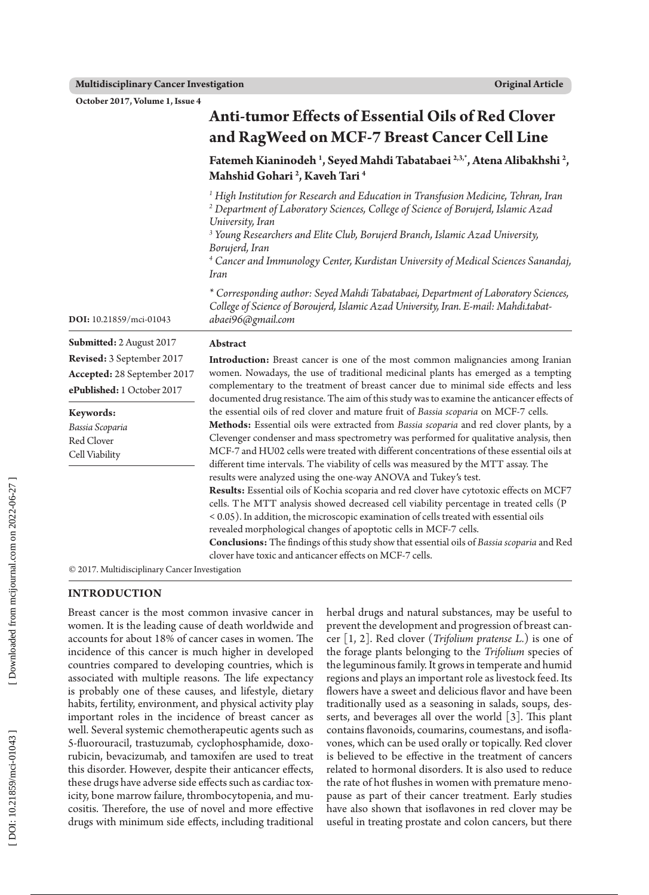**October 2017, Volume 1, Issue 4**

|                                                                                        | <b>Anti-tumor Effects of Essential Oils of Red Clover</b>                                                                                                                                                                                                                                                                                                                                                                                                                                                                                                                                                                                                                                                                 |  |  |  |  |
|----------------------------------------------------------------------------------------|---------------------------------------------------------------------------------------------------------------------------------------------------------------------------------------------------------------------------------------------------------------------------------------------------------------------------------------------------------------------------------------------------------------------------------------------------------------------------------------------------------------------------------------------------------------------------------------------------------------------------------------------------------------------------------------------------------------------------|--|--|--|--|
|                                                                                        | and RagWeed on MCF-7 Breast Cancer Cell Line                                                                                                                                                                                                                                                                                                                                                                                                                                                                                                                                                                                                                                                                              |  |  |  |  |
|                                                                                        | Fatemeh Kianinodeh <sup>1</sup> , Seyed Mahdi Tabatabaei <sup>2,3,*</sup> , Atena Alibakhshi <sup>2</sup> ,<br>Mahshid Gohari <sup>2</sup> , Kaveh Tari <sup>4</sup>                                                                                                                                                                                                                                                                                                                                                                                                                                                                                                                                                      |  |  |  |  |
|                                                                                        | <sup>1</sup> High Institution for Research and Education in Transfusion Medicine, Tehran, Iran<br><sup>2</sup> Department of Laboratory Sciences, College of Science of Borujerd, Islamic Azad<br>University, Iran<br><sup>3</sup> Young Researchers and Elite Club, Borujerd Branch, Islamic Azad University,<br>Borujerd, Iran<br><sup>4</sup> Cancer and Immunology Center, Kurdistan University of Medical Sciences Sanandaj,                                                                                                                                                                                                                                                                                         |  |  |  |  |
|                                                                                        | Iran                                                                                                                                                                                                                                                                                                                                                                                                                                                                                                                                                                                                                                                                                                                      |  |  |  |  |
| DOI: 10.21859/mci-01043                                                                | * Corresponding author: Seyed Mahdi Tabatabaei, Department of Laboratory Sciences,<br>College of Science of Boroujerd, Islamic Azad University, Iran. E-mail: Mahdi.tabat-<br>abaei96@gmail.com                                                                                                                                                                                                                                                                                                                                                                                                                                                                                                                           |  |  |  |  |
| Submitted: 2 August 2017                                                               | Abstract                                                                                                                                                                                                                                                                                                                                                                                                                                                                                                                                                                                                                                                                                                                  |  |  |  |  |
| Revised: 3 September 2017<br>Accepted: 28 September 2017<br>ePublished: 1 October 2017 | <b>Introduction:</b> Breast cancer is one of the most common malignancies among Iranian<br>women. Nowadays, the use of traditional medicinal plants has emerged as a tempting<br>complementary to the treatment of breast cancer due to minimal side effects and less<br>documented drug resistance. The aim of this study was to examine the anticancer effects of                                                                                                                                                                                                                                                                                                                                                       |  |  |  |  |
| Keywords:                                                                              | the essential oils of red clover and mature fruit of Bassia scoparia on MCF-7 cells.                                                                                                                                                                                                                                                                                                                                                                                                                                                                                                                                                                                                                                      |  |  |  |  |
| Bassia Scoparia<br>Red Clover<br>Cell Viability                                        | Methods: Essential oils were extracted from Bassia scoparia and red clover plants, by a<br>Clevenger condenser and mass spectrometry was performed for qualitative analysis, then<br>MCF-7 and HU02 cells were treated with different concentrations of these essential oils at<br>different time intervals. The viability of cells was measured by the MTT assay. The<br>results were analyzed using the one-way ANOVA and Tukey's test.<br>Results: Essential oils of Kochia scoparia and red clover have cytotoxic effects on MCF7<br>cells. The MTT analysis showed decreased cell viability percentage in treated cells (P<br>< 0.05). In addition, the microscopic examination of cells treated with essential oils |  |  |  |  |
|                                                                                        | revealed morphological changes of apoptotic cells in MCF-7 cells.<br>Conclusions: The findings of this study show that essential oils of Bassia scoparia and Red<br>clover have toxic and anticancer effects on MCF-7 cells.                                                                                                                                                                                                                                                                                                                                                                                                                                                                                              |  |  |  |  |

© 2017. Multidisciplinary Cancer Investigation

## **INTRODUCTION**

Breast cancer is the most common invasive cancer in women. It is the leading cause of death worldwide and accounts for about 18% of cancer cases in women. The incidence of this cancer is much higher in developed countries compared to developing countries, which is associated with multiple reasons. The life expectancy is probably one of these causes, and lifestyle, dietary habits, fertility, environment, and physical activity play important roles in the incidence of breast cancer as well. Several systemic chemotherapeutic agents such as 5-fluorouracil, trastuzumab, cyclophosphamide, doxo rubicin, bevacizumab, and tamoxifen are used to treat this disorder. However, despite their anticancer effects, these drugs have adverse side effects such as cardiac tox icity, bone marrow failure, thrombocytopenia, and mu cositis. Therefore, the use of novel and more effective drugs with minimum side effects, including traditional herbal drugs and natural substances, may be useful to prevent the development and progression of breast can cer [1, 2]. Red clover (*Trifolium pratense L.*) is one of the forage plants belonging to the *Trifolium* species of the leguminous family. It grows in temperate and humid regions and plays an important role as livestock feed. Its flowers have a sweet and delicious flavor and have been traditionally used as a seasoning in salads, soups, des serts, and beverages all over the world [3]. This plant contains flavonoids, coumarins, coumestans, and isofla vones, which can be used orally or topically. Red clover is believed to be effective in the treatment of cancers related to hormonal disorders. It is also used to reduce the rate of hot flushes in women with premature meno pause as part of their cancer treatment. Early studies have also shown that isoflavones in red clover may be useful in treating prostate and colon cancers, but there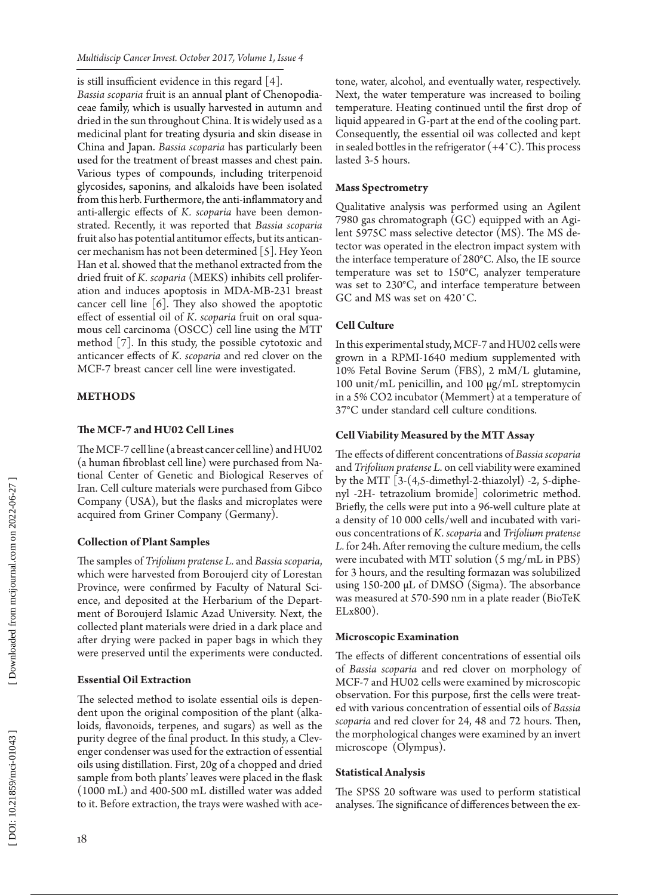is still insufficient evidence in this regard [4].

*Bassia scoparia* fruit is an annual plant of Chenopodia ceae family, which is usually harvested in autumn and dried in the sun throughout China. It is widely used as a medicinal plant for treating dysuria and skin disease in China and Japan. *Bassia scoparia* has particularly been used for the treatment of breast masses and chest pain. Various types of compounds, including triterpenoid glycosides, saponins, and alkaloids have been isolated from this herb. Furthermore, the anti-inflammatory and anti-allergic effects of *K. scoparia* have been demon strated. Recently, it was reported that *Bassia scoparia* fruit also has potential antitumor effects, but its antican cer mechanism has not been determined [5]. Hey Yeon Han et al. showed that the methanol extracted from the dried fruit of *K. scoparia* (MEKS) inhibits cell prolifer ation and induces apoptosis in MDA-MB-231 breast cancer cell line [6]. They also showed the apoptotic effect of essential oil of *K. scoparia* fruit on oral squa mous cell carcinoma (OSCC) cell line using the MTT method [7]. In this study, the possible cytotoxic and anticancer effects of *K. scoparia* and red clover on the MCF-7 breast cancer cell line were investigated.

## **METHODS**

## **The MCF-7 and HU02 Cell Lines**

The MCF-7 cell line (a breast cancer cell line) and HU02 (a human fibroblast cell line) were purchased from Na tional Center of Genetic and Biological Reserves of Iran. Cell culture materials were purchased from Gibco Company (USA), but the flasks and microplates were acquired from Griner Company (Germany).

## **Collection of Plant Samples**

The samples of *Trifolium pratense L.* and *Bassia scoparia*, which were harvested from Boroujerd city of Lorestan Province, were confirmed by Faculty of Natural Sci ence, and deposited at the Herbarium of the Depart ment of Boroujerd Islamic Azad University. Next, the collected plant materials were dried in a dark place and after drying were packed in paper bags in which they were preserved until the experiments were conducted.

## **Essential Oil Extraction**

The selected method to isolate essential oils is depen dent upon the original composition of the plant (alka loids, flavonoids, terpenes, and sugars) as well as the purity degree of the final product. In this study, a Clev enger condenser was used for the extraction of essential oils using distillation. First, 20g of a chopped and dried sample from both plants' leaves were placed in the flask (1000 mL) and 400-500 mL distilled water was added to it. Before extraction, the trays were washed with ace -

tone, water, alcohol, and eventually water, respectively. Next, the water temperature was increased to boiling temperature. Heating continued until the first drop of liquid appeared in G-part at the end of the cooling part. Consequently, the essential oil was collected and kept in sealed bottles in the refrigerator (+4˚C). This process lasted 3-5 hours.

## **Mass Spectrometry**

Qualitative analysis was performed using an Agilent 7980 gas chromatograph (GC) equipped with an Agi lent 5975C mass selective detector (MS). The MS de tector was operated in the electron impact system with the interface temperature of 280°C. Also, the IE source temperature was set to 150°C, analyzer temperature was set to 230°C, and interface temperature between GC and MS was set on 420˚C.

# **Cell Culture**

In this experimental study, MCF-7 and HU02 cells were grown in a RPMI-1640 medium supplemented with 10% Fetal Bovine Serum (FBS), 2 mM/L glutamine, 100 unit/mL penicillin, and 100 µg/mL streptomycin in a 5% CO2 incubator (Memmert) at a temperature of 37°C under standard cell culture conditions.

# **Cell Viability Measured by the MTT Assay**

The effects of different concentrations of *Bassia scoparia* and *Trifolium pratense L.* on cell viability were examined by the MTT [3-(4,5-dimethyl-2-thiazolyl) -2, 5-diphe nyl -2H- tetrazolium bromide] colorimetric method. Briefly, the cells were put into a 96-well culture plate at a density of 10 000 cells/well and incubated with vari ous concentrations of *K. scoparia* and *Trifolium pratense L.* for 24h. After removing the culture medium, the cells were incubated with MTT solution (5 mg/mL in PBS) for 3 hours, and the resulting formazan was solubilized using 150-200 µL of DMSO (Sigma). The absorbance was measured at 570-590 nm in a plate reader (BioTeK ELx800).

## **Microscopic Examination**

The effects of different concentrations of essential oils of *Bassia scoparia* and red clover on morphology of MCF-7 and HU02 cells were examined by microscopic observation. For this purpose, first the cells were treat ed with various concentration of essential oils of *Bassia scoparia* and red clover for 24, 48 and 72 hours. Then, the morphological changes were examined by an invert microscope (Olympus).

## **Statistical Analysis**

The SPSS 20 software was used to perform statistical analyses. The significance of differences between the ex -

18

DOI: 10.21859/mci-01043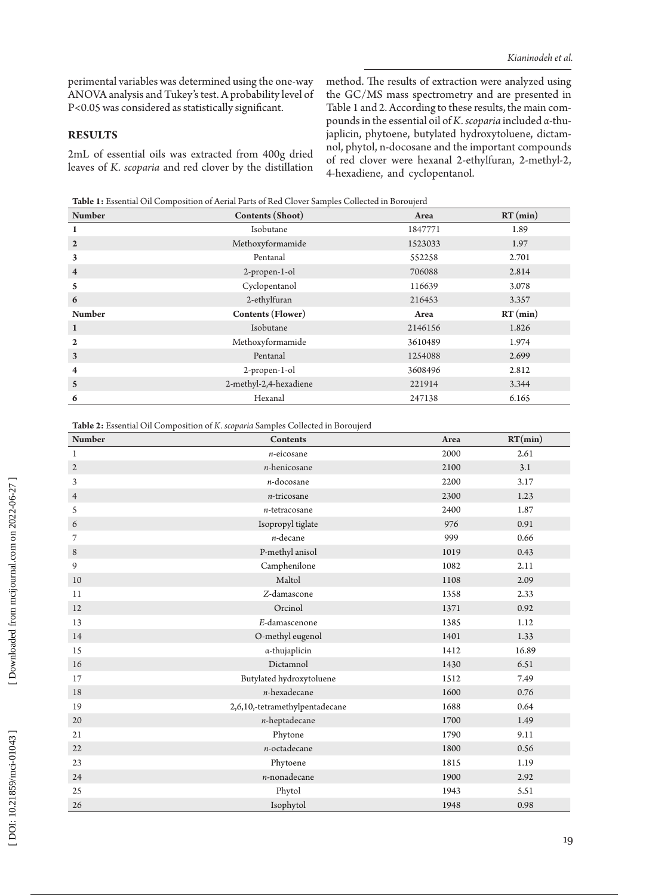perimental variables was determined using the one-way ANOVA analysis and Tukey's test. A probability level of P<0.05 was considered as statistically significant.

#### **RESULTS**

2mL of essential oils was extracted from 400g dried leaves of *K. scoparia* and red clover by the distillation method. The results of extraction were analyzed using the GC/MS mass spectrometry and are presented in Table 1 and 2. According to these results, the main compounds in the essential oil of *K. scoparia* included α-thu japlicin, phytoene, butylated hydroxytoluene, dictam nol, phytol, n-docosane and the important compounds of red clover were hexanal 2-ethylfuran, 2-methyl-2, 4-hexadiene, and cyclopentanol.

**Table 1:** Essential Oil Composition of Aerial Parts of Red Clover Samples Collected in Boroujerd

| <b>Number</b>           | Contents (Shoot)         | Area    | $RT$ (min) |
|-------------------------|--------------------------|---------|------------|
| $\mathbf{1}$            | Isobutane                | 1847771 | 1.89       |
| $\overline{2}$          | Methoxyformamide         | 1523033 | 1.97       |
| 3                       | Pentanal                 | 552258  | 2.701      |
| $\overline{\mathbf{4}}$ | 2-propen-1-ol            | 706088  | 2.814      |
| 5                       | Cyclopentanol            | 116639  | 3.078      |
| 6                       | 2-ethylfuran             | 216453  | 3.357      |
| <b>Number</b>           | <b>Contents (Flower)</b> | Area    | $RT$ (min) |
| $\mathbf{1}$            | Isobutane                | 2146156 | 1.826      |
| $\mathbf{2}$            | Methoxyformamide         | 3610489 | 1.974      |
| 3                       | Pentanal                 | 1254088 | 2.699      |
| $\overline{\mathbf{4}}$ | 2-propen-1-ol            | 3608496 | 2.812      |
| $\mathbf{5}$            | 2-methyl-2,4-hexadiene   | 221914  | 3.344      |
| 6                       | Hexanal                  | 247138  | 6.165      |

**Table 2:** Essential Oil Composition of *K. scoparia* Samples Collected in Boroujerd

| <b>Number</b>  | <b>Contents</b>                | Area | RT(min) |
|----------------|--------------------------------|------|---------|
| $\mathbf 1$    | $n$ -eicosane                  | 2000 | 2.61    |
| $\mathfrak{2}$ | $n$ -henicosane                | 2100 | 3.1     |
| 3              | $n\mbox{-}\mathrm{docosane}$   | 2200 | 3.17    |
| $\overline{4}$ | $n$ -tricosane                 | 2300 | 1.23    |
| 5              | $n$ -tetracosane               | 2400 | 1.87    |
| 6              | Isopropyl tiglate              | 976  | 0.91    |
| 7              | $n$ -decane                    | 999  | 0.66    |
| $\,8\,$        | P-methyl anisol                | 1019 | 0.43    |
| 9              | Camphenilone                   | 1082 | 2.11    |
| $10$           | Maltol                         | 1108 | 2.09    |
| 11             | Z-damascone                    | 1358 | 2.33    |
| 12             | Orcinol                        | 1371 | 0.92    |
| 13             | E-damascenone                  | 1385 | 1.12    |
| 14             | O-methyl eugenol               | 1401 | 1.33    |
| 15             | a-thujaplicin                  | 1412 | 16.89   |
| 16             | Dictamnol                      | 1430 | 6.51    |
| 17             | Butylated hydroxytoluene       | 1512 | 7.49    |
| 18             | $n$ -hexadecane                | 1600 | 0.76    |
| 19             | 2,6,10,-tetramethylpentadecane | 1688 | 0.64    |
| 20             | $n$ -heptadecane               | 1700 | 1.49    |
| 21             | Phytone                        | 1790 | 9.11    |
| 22             | $n$ -octadecane                | 1800 | 0.56    |
| 23             | Phytoene                       | 1815 | 1.19    |
| 24             | $n$ -nonadecane                | 1900 | 2.92    |
| 25             | Phytol                         | 1943 | 5.51    |
| 26             | Isophytol                      | 1948 | 0.98    |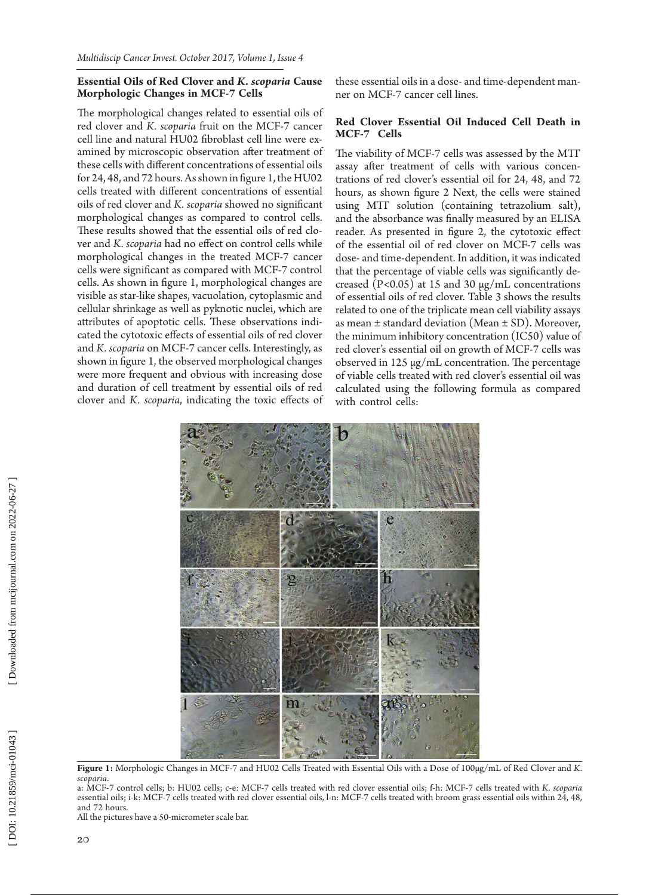#### **Essential Oils of Red Clover and** *K. scoparia* **Cause Morphologic Changes in MCF-7 Cells**

The morphological changes related to essential oils of red clover and *K. scoparia* fruit on the MCF-7 cancer cell line and natural HU02 fibroblast cell line were ex amined by microscopic observation after treatment of these cells with different concentrations of essential oils for 24, 48, and 72 hours. As shown in figure 1, the HU02 cells treated with different concentrations of essential oils of red clover and *K. scoparia* showed no significant morphological changes as compared to control cells. These results showed that the essential oils of red clo ver and *K. scoparia* had no effect on control cells while morphological changes in the treated MCF-7 cancer cells were significant as compared with MCF-7 control cells. As shown in figure 1, morphological changes are visible as star-like shapes, vacuolation, cytoplasmic and cellular shrinkage as well as pyknotic nuclei, which are attributes of apoptotic cells. These observations indi cated the cytotoxic effects of essential oils of red clover and *K. scoparia* on MCF-7 cancer cells. Interestingly, as shown in figure 1, the observed morphological changes were more frequent and obvious with increasing dose and duration of cell treatment by essential oils of red clover and *K. scoparia*, indicating the toxic effects of these essential oils in a dose- and time-dependent man ner on MCF-7 cancer cell lines.

#### **Red Clover Essential Oil Induced Cell Death in MCF-7 Cells**

The viability of MCF-7 cells was assessed by the MTT assay after treatment of cells with various concen trations of red clover's essential oil for 24, 48, and 72 hours, as shown figure 2 Next, the cells were stained using MTT solution (containing tetrazolium salt), and the absorbance was finally measured by an ELISA reader. As presented in figure 2, the cytotoxic effect of the essential oil of red clover on MCF-7 cells was dose- and time-dependent. In addition, it was indicated that the percentage of viable cells was significantly de creased (P<0.05) at 15 and 30 μg/mL concentrations of essential oils of red clover. Table 3 shows the results related to one of the triplicate mean cell viability assays as mean ± standard deviation (Mean ± SD). Moreover, the minimum inhibitory concentration (IC50) value of red clover's essential oil on growth of MCF-7 cells was observed in 125 µg/mL concentration. The percentage of viable cells treated with red clover's essential oil was calculated using the following formula as compared with control cells:



**Figure 1:** Morphologic Changes in MCF-7 and HU02 Cells Treated with Essential Oils with a Dose of 100µg/mL of Red Clover and *K. scoparia* .

a: MCF-7 control cells; b: HU02 cells; c-e: MCF-7 cells treated with red clover essential oils; f-h: MCF-7 cells treated with *K. scoparia* essential oils; i-k: MCF-7 cells treated with red clover essential oils, l-n: MCF-7 cells treated with broom grass essential oils within 24, 48, and 72 hours.

All the pictures have a 50-micrometer scale bar.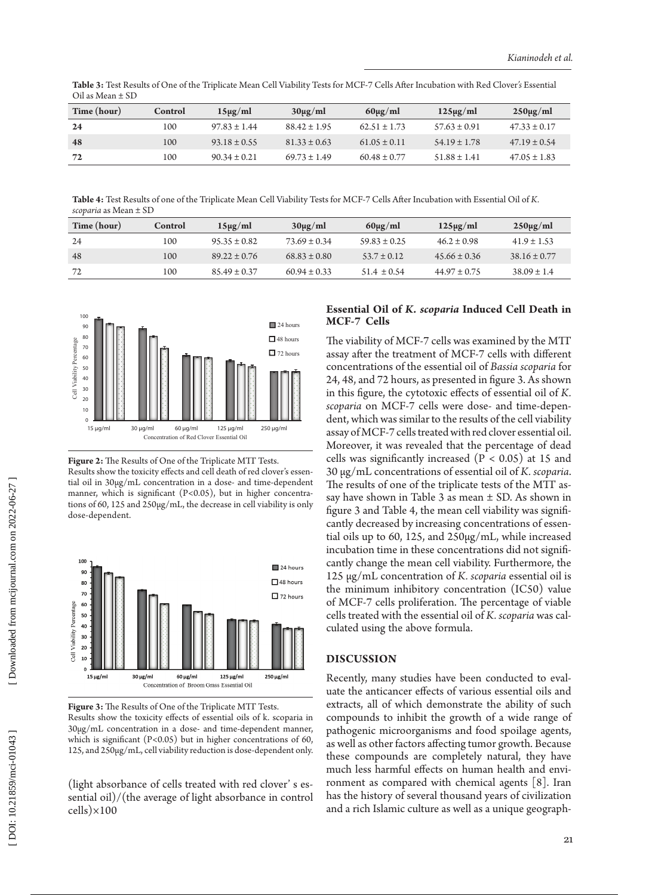**Table 3:** Test Results of One of the Triplicate Mean Cell Viability Tests for MCF-7 Cells After Incubation with Red Clover*'s* Essential Oil as Mean ± SD

| Time (hour) | <b>Control</b> | $15\mu g/ml$     | $30\mu g/ml$     | $60\mu g/ml$     | $125\mu g/ml$    | $250\mu g/ml$    |
|-------------|----------------|------------------|------------------|------------------|------------------|------------------|
| 24          | 100            | $97.83 \pm 1.44$ | $88.42 \pm 1.95$ | $62.51 \pm 1.73$ | $57.63 \pm 0.91$ | $47.33 \pm 0.17$ |
| 48          | 100            | $93.18 \pm 0.55$ | $81.33 \pm 0.63$ | $61.05 \pm 0.11$ | $54.19 \pm 1.78$ | $47.19 \pm 0.54$ |
| 72          | 100            | $90.34 \pm 0.21$ | $69.73 \pm 1.49$ | $60.48 \pm 0.77$ | $51.88 \pm 1.41$ | $47.05 \pm 1.83$ |

**Table 4:** Test Results of one of the Triplicate Mean Cell Viability Tests for MCF-7 Cells After Incubation with Essential Oil of *K. scoparia* as Mean ± SD

| Time (hour) | Control | $15\mu g/ml$     | $30\mu g/ml$     | $60\mu g/ml$     | $125\mu g/ml$    | $250 \mu g/ml$   |
|-------------|---------|------------------|------------------|------------------|------------------|------------------|
| -24         | 100     | $95.35 \pm 0.82$ | $73.69 \pm 0.34$ | $59.83 \pm 0.25$ | $46.2 \pm 0.98$  | $41.9 \pm 1.53$  |
| 48          | 100     | $89.22 \pm 0.76$ | $68.83 \pm 0.80$ | $53.7 \pm 0.12$  | $45.66 \pm 0.36$ | $38.16 \pm 0.77$ |
| 72          | 100     | $85.49 \pm 0.37$ | $60.94 \pm 0.33$ | $51.4 \pm 0.54$  | $44.97 \pm 0.75$ | $38.09 \pm 1.4$  |



**Figure 2:** The Results of One of the Triplicate MTT Tests. Results show the toxicity effects and cell death of red clover's essen tial oil in 30µg/mL concentration in a dose- and time-dependent manner, which is significant (P<0.05), but in higher concentra tions of 60, 125 and 250µg/mL, the decrease in cell viability is only dose-dependent.



**Figure 3:** The Results of One of the Triplicate MTT Tests. Results show the toxicity effects of essential oils of k. scoparia in 30µg/mL concentration in a dose- and time-dependent manner, which is significant (P<0.05) but in higher concentrations of 60, 125, and 250µg/mL, cell viability reduction is dose-dependent only.

(light absorbance of cells treated with red clover' s es sential oil)/(the average of light absorbance in control cells)×100

#### **Essential Oil of** *K. scoparia* **Induced Cell Death in MCF-7 Cells**

The viability of MCF-7 cells was examined by the MTT assay after the treatment of MCF-7 cells with different concentrations of the essential oil of *Bassia scoparia* for 24, 48, and 72 hours, as presented in figure 3. As shown in this figure, the cytotoxic effects of essential oil of *K. scoparia* on MCF-7 cells were dose- and time-depen dent, which was similar to the results of the cell viability assay of MCF-7 cells treated with red clover essential oil. Moreover, it was revealed that the percentage of dead cells was significantly increased ( $P < 0.05$ ) at 15 and 30 μg/mL concentrations of essential oil of *K. scoparia*. The results of one of the triplicate tests of the MTT as say have shown in Table 3 as mean  $\pm$  SD. As shown in figure 3 and Table 4, the mean cell viability was signifi cantly decreased by increasing concentrations of essen tial oils up to 60, 125, and 250µg/mL, while increased incubation time in these concentrations did not signifi cantly change the mean cell viability. Furthermore, the 125 µg/mL concentration of *K. scoparia* essential oil is the minimum inhibitory concentration (IC50) value of MCF-7 cells proliferation. The percentage of viable cells treated with the essential oil of *K. scoparia* was cal culated using the above formula.

## **DISCUSSION**

Recently, many studies have been conducted to eval uate the anticancer effects of various essential oils and extracts, all of which demonstrate the ability of such compounds to inhibit the growth of a wide range of pathogenic microorganisms and food spoilage agents, as well as other factors affecting tumor growth. Because these compounds are completely natural, they have much less harmful effects on human health and envi ronment as compared with chemical agents [8]. Iran has the history of several thousand years of civilization and a rich Islamic culture as well as a unique geograph -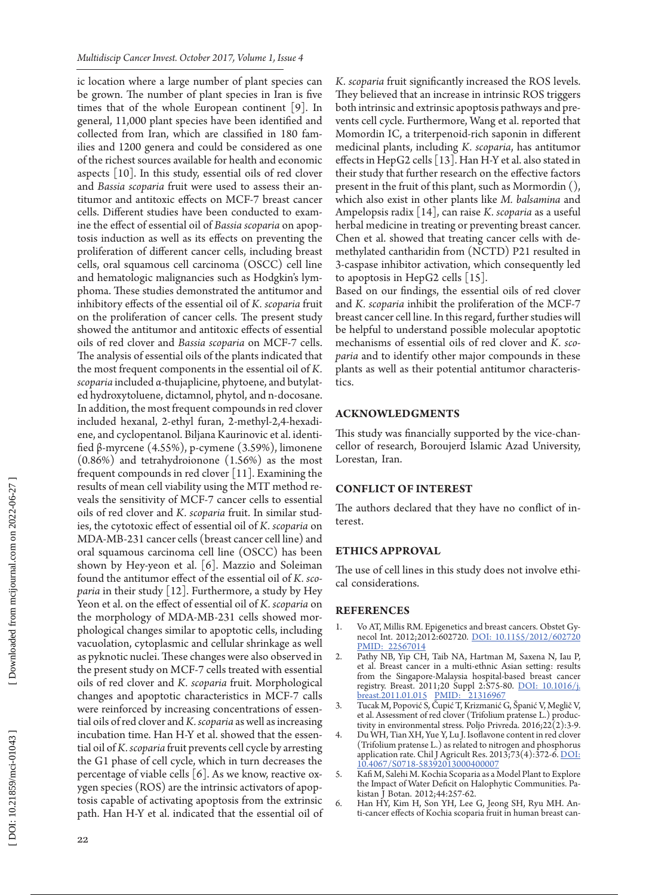ic location where a large number of plant species can be grown. The number of plant species in Iran is five times that of the whole European continent [9]. In general, 11,000 plant species have been identified and collected from Iran, which are classified in 180 fam ilies and 1200 genera and could be considered as one of the richest sources available for health and economic aspects [10]. In this study, essential oils of red clover and *Bassia scoparia* fruit were used to assess their an titumor and antitoxic effects on MCF-7 breast cancer cells. Different studies have been conducted to exam ine the effect of essential oil of *Bassia scoparia* on apop tosis induction as well as its effects on preventing the proliferation of different cancer cells, including breast cells, oral squamous cell carcinoma (OSCC) cell line and hematologic malignancies such as Hodgkin's lym phoma. These studies demonstrated the antitumor and inhibitory effects of the essential oil of *K. scoparia* fruit on the proliferation of cancer cells. The present study showed the antitumor and antitoxic effects of essential oils of red clover and *Bassia scoparia* on MCF-7 cells. The analysis of essential oils of the plants indicated that the most frequent components in the essential oil of *K. scoparia* included α-thujaplicine, phytoene, and butylat ed hydroxytoluene, dictamnol, phytol, and n-docosane. In addition, the most frequent compounds in red clover included hexanal, 2-ethyl furan, 2-methyl-2,4-hexadi ene, and cyclopentanol. Biljana Kaurinovic et al. identi fied β-myrcene (4.55%), p-cymene (3.59%), limonene (0.86%) and tetrahydroionone (1.56%) as the most frequent compounds in red clover  $[11]$ . Examining the results of mean cell viability using the MTT method reveals the sensitivity of MCF-7 cancer cells to essential oils of red clover and *K. scoparia* fruit. In similar stud ies, the cytotoxic effect of essential oil of *K. scoparia* on MDA-MB-231 cancer cells (breast cancer cell line) and oral squamous carcinoma cell line (OSCC) has been shown by Hey-yeon et al. [6]. Mazzio and Soleiman found the antitumor effect of the essential oil of *K. sco paria* in their study [12]. Furthermore, a study by Hey Yeon et al. on the effect of essential oil of *K. scoparia* on the morphology of MDA-MB-231 cells showed mor phological changes similar to apoptotic cells, including vacuolation, cytoplasmic and cellular shrinkage as well as pyknotic nuclei. These changes were also observed in the present study on MCF-7 cells treated with essential oils of red clover and *K. scoparia* fruit. Morphological changes and apoptotic characteristics in MCF-7 calls were reinforced by increasing concentrations of essen tial oils of red clover and *K. scoparia* as well as increasing incubation time. Han H-Y et al. showed that the essen tial oil of *K. scoparia* fruit prevents cell cycle by arresting the G1 phase of cell cycle, which in turn decreases the percentage of viable cells [6]. As we know, reactive ox ygen species (ROS) are the intrinsic activators of apop tosis capable of activating apoptosis from the extrinsic path. Han H-Y et al. indicated that the essential oil of *K. scoparia* fruit significantly increased the ROS levels. They believed that an increase in intrinsic ROS triggers both intrinsic and extrinsic apoptosis pathways and pre vents cell cycle. Furthermore, Wang et al. reported that Momordin IC, a triterpenoid-rich saponin in different medicinal plants, including *K. scoparia*, has antitumor effects in HepG2 cells [13]. Han H-Y et al. also stated in their study that further research on the effective factors present in the fruit of this plant, such as Mormordin (), which also exist in other plants like *M. balsamina* and Ampelopsis radix [14], can raise *K. scoparia* as a useful herbal medicine in treating or preventing breast cancer. Chen et al. showed that treating cancer cells with de methylated cantharidin from (NCTD) P21 resulted in 3-caspase inhibitor activation, which consequently led to apoptosis in HepG2 cells [15].

Based on our findings, the essential oils of red clover and *K. scoparia* inhibit the proliferation of the MCF-7 breast cancer cell line. In this regard, further studies will be helpful to understand possible molecular apoptotic mechanisms of essential oils of red clover and *K. sco paria* and to identify other major compounds in these plants as well as their potential antitumor characteris tics.

#### **ACKNOWL**

This study was financially supported by the vice-chan cellor of research, Boroujerd Islamic Azad University, Lorestan, Iran.

#### **CONFLICT OF INTEREST**

The authors declared that they have no conflict of in terest.

#### **ETHICS APPROVAL**

The use of cell lines in this study does not involve ethi cal considerations.

#### **References**

- 1. Vo AT, Millis RM. Epigenetics and breast cancers. Obstet Gy necol Int. 2012;2012:602720. [DOI: 10.1155/2012/602720](http://dx.doi.org/10.1155/2012/602720) [PMID: 22567014](file:///D:/Owjj/Owj/Journals/MCI/1\(4\)/Style%20edit/www.ncbi.nlm.nih.gov/pubmed/22567014)
- 2. Pathy NB, Yip CH, Taib NA, Hartman M, Saxena N, Iau P, et al. Breast cancer in a multi-ethnic Asian setting: results from the Singapore-Malaysia hospital-based breast cancer registry. Breast. 2011;20 Suppl 2:S75-80. [DOI: 10.1016/j.](http://dx.doi.org/10.1016/j.breast.2011.01.015) [breast.2011.01.015](http://dx.doi.org/10.1016/j.breast.2011.01.015) [PMID: 21316967](file:///D:/Owjj/Owj/Journals/MCI/1\(4\)/Style%20edit/www.ncbi.nlm.nih.gov/pubmed/21316967)
- 3. Tucak M, Popović S, Čupić T, Krizmanić G, Španić V, Meglič V, et al. Assessment of red clover (Trifolium pratense L.) produc tivity in environmental stress. Poljo Privreda.  $2016;22(2):3-9$ .
- 4. Du WH, Tian XH, Yue Y, Lu J. Isoflavone content in red clover (Trifolium pratense L.) as related to nitrogen and phosphorus application rate. Chil J Agricult Res. 2013;73(4):372-6. DOI: [10.4067/S0718-58392013000400007](http://dx.doi.org/10.4067/S0718-58392013000400007)
- 5. Kafi M, Salehi M. Kochia Scoparia as a Model Plant to Explore the Impact of Water Deficit on Halophytic Communities. Pa kistan J Botan. 2012;44:257-62.
- 6. Han HY, Kim H, Son YH, Lee G, Jeong SH, Ryu MH. An ti-cancer effects of Kochia scoparia fruit in human breast can -